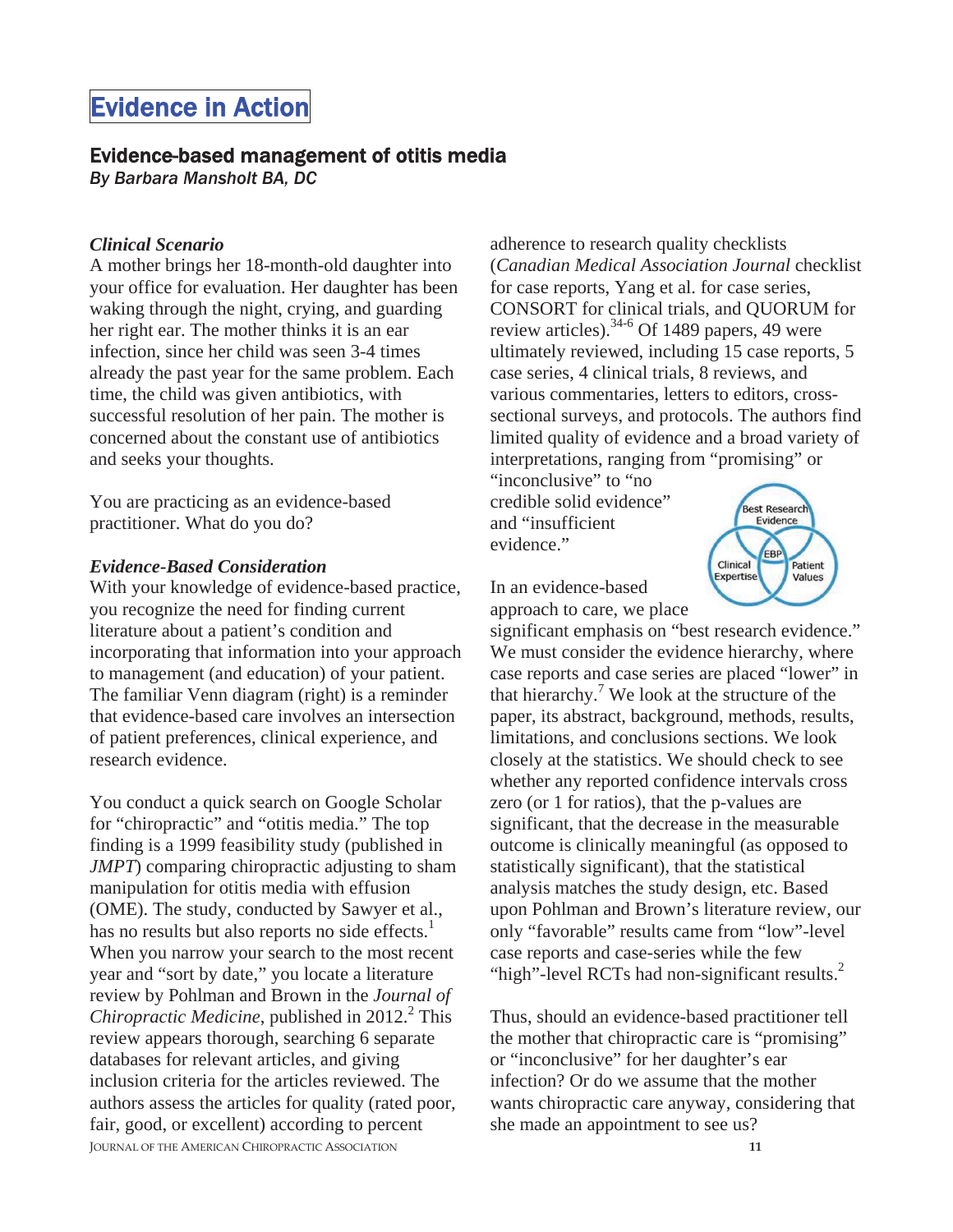# Evidence in Action

### Evidence-based management of otitis media

*By Barbara Mansholt BA, DC* 

#### *Clinical Scenario*

A mother brings her 18-month-old daughter into your office for evaluation. Her daughter has been waking through the night, crying, and guarding her right ear. The mother thinks it is an ear infection, since her child was seen 3-4 times already the past year for the same problem. Each time, the child was given antibiotics, with successful resolution of her pain. The mother is concerned about the constant use of antibiotics and seeks your thoughts.

You are practicing as an evidence-based practitioner. What do you do?

#### *Evidence-Based Consideration*

With your knowledge of evidence-based practice, you recognize the need for finding current literature about a patient's condition and incorporating that information into your approach to management (and education) of your patient. The familiar Venn diagram (right) is a reminder that evidence-based care involves an intersection of patient preferences, clinical experience, and research evidence.

**JOURNAL OF THE AMERICAN CHIROPRACTIC ASSOCIATION** You conduct a quick search on Google Scholar for "chiropractic" and "otitis media." The top finding is a 1999 feasibility study (published in *JMPT*) comparing chiropractic adjusting to sham manipulation for otitis media with effusion (OME). The study, conducted by Sawyer et al., has no results but also reports no side effects.<sup>1</sup> When you narrow your search to the most recent year and "sort by date," you locate a literature review by Pohlman and Brown in the *Journal of*  Chiropractic Medicine, published in 2012.<sup>2</sup> This review appears thorough, searching 6 separate databases for relevant articles, and giving inclusion criteria for the articles reviewed. The authors assess the articles for quality (rated poor, fair, good, or excellent) according to percent

adherence to research quality checklists (*Canadian Medical Association Journal* checklist for case reports, Yang et al. for case series, CONSORT for clinical trials, and QUORUM for review articles).34-6 Of 1489 papers, 49 were ultimately reviewed, including 15 case reports, 5 case series, 4 clinical trials, 8 reviews, and various commentaries, letters to editors, crosssectional surveys, and protocols. The authors find limited quality of evidence and a broad variety of interpretations, ranging from "promising" or

"inconclusive" to "no credible solid evidence" and "insufficient evidence."



In an evidence-based approach to care, we place

significant emphasis on "best research evidence." We must consider the evidence hierarchy, where case reports and case series are placed "lower" in that hierarchy.<sup>7</sup> We look at the structure of the paper, its abstract, background, methods, results, limitations, and conclusions sections. We look closely at the statistics. We should check to see whether any reported confidence intervals cross zero (or 1 for ratios), that the p-values are significant, that the decrease in the measurable outcome is clinically meaningful (as opposed to statistically significant), that the statistical analysis matches the study design, etc. Based upon Pohlman and Brown's literature review, our only "favorable" results came from "low"-level case reports and case-series while the few "high"-level RCTs had non-significant results.<sup>2</sup>

Thus, should an evidence-based practitioner tell the mother that chiropractic care is "promising" or "inconclusive" for her daughter's ear infection? Or do we assume that the mother wants chiropractic care anyway, considering that she made an appointment to see us?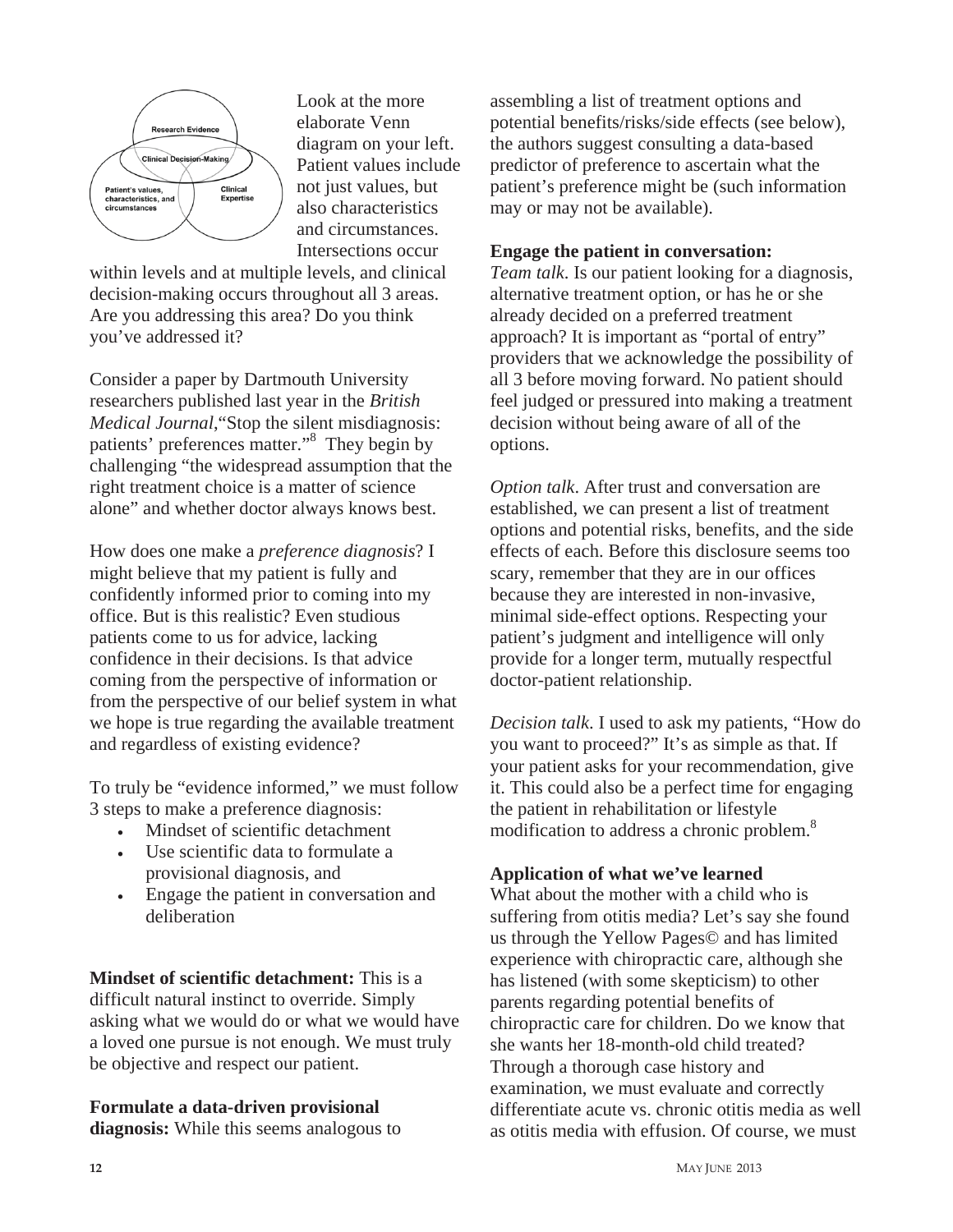

Look at the more elaborate Venn diagram on your left. Patient values include not just values, but also characteristics and circumstances. Intersections occur

within levels and at multiple levels, and clinical decision-making occurs throughout all 3 areas. Are you addressing this area? Do you think you've addressed it?

Consider a paper by Dartmouth University researchers published last year in the *British Medical Journal*,"Stop the silent misdiagnosis: patients' preferences matter."8 They begin by challenging "the widespread assumption that the right treatment choice is a matter of science alone" and whether doctor always knows best.

How does one make a *preference diagnosis*? I might believe that my patient is fully and confidently informed prior to coming into my office. But is this realistic? Even studious patients come to us for advice, lacking confidence in their decisions. Is that advice coming from the perspective of information or from the perspective of our belief system in what we hope is true regarding the available treatment and regardless of existing evidence?

To truly be "evidence informed," we must follow 3 steps to make a preference diagnosis:

- Mindset of scientific detachment
- <sup>x</sup> Use scientific data to formulate a provisional diagnosis, and
- Engage the patient in conversation and deliberation

**Mindset of scientific detachment:** This is a difficult natural instinct to override. Simply asking what we would do or what we would have a loved one pursue is not enough. We must truly be objective and respect our patient.

**Formulate a data-driven provisional diagnosis:** While this seems analogous to assembling a list of treatment options and potential benefits/risks/side effects (see below), the authors suggest consulting a data-based predictor of preference to ascertain what the patient's preference might be (such information may or may not be available).

## **Engage the patient in conversation:**

*Team talk*. Is our patient looking for a diagnosis, alternative treatment option, or has he or she already decided on a preferred treatment approach? It is important as "portal of entry" providers that we acknowledge the possibility of all 3 before moving forward. No patient should feel judged or pressured into making a treatment decision without being aware of all of the options.

*Option talk*. After trust and conversation are established, we can present a list of treatment options and potential risks, benefits, and the side effects of each. Before this disclosure seems too scary, remember that they are in our offices because they are interested in non-invasive, minimal side-effect options. Respecting your patient's judgment and intelligence will only provide for a longer term, mutually respectful doctor-patient relationship.

*Decision talk*. I used to ask my patients, "How do you want to proceed?" It's as simple as that. If your patient asks for your recommendation, give it. This could also be a perfect time for engaging the patient in rehabilitation or lifestyle modification to address a chronic problem.<sup>8</sup>

# **Application of what we've learned**

What about the mother with a child who is suffering from otitis media? Let's say she found us through the Yellow Pages© and has limited experience with chiropractic care, although she has listened (with some skepticism) to other parents regarding potential benefits of chiropractic care for children. Do we know that she wants her 18-month-old child treated? Through a thorough case history and examination, we must evaluate and correctly differentiate acute vs. chronic otitis media as well as otitis media with effusion. Of course, we must